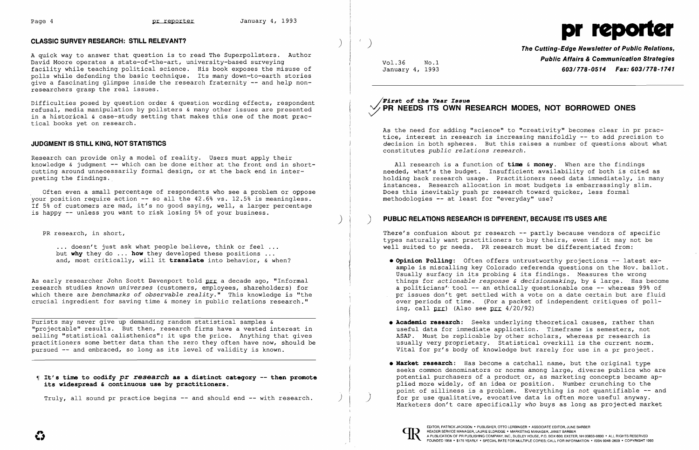

A quick way to answer that question is to read The Superpollsters. Author David Moore operates a state-of-the-art, university-based surveying facility while teaching political science. His book exposes the misuse of polls while defending the basic technique. Its many down-to-earth stories give a fascinating glimpse inside the research fraternity -- and help nonresearchers grasp the real issues.

Research can provide only a model of reality. Users must apply their knowledge & judgment -- which can be done either at the front end in shortcutting around unnecessarily formal design, or at the back end in interpreting the findings.

Difficulties posed by question order & question wording effects, respondent refusal, media manipulation by pollsters & many other issues are presented in a historical & case-study setting that makes this one of the most practical books yet on research.

... doesn't just ask what people believe, think or feel ... but **why** they do ... **how** they developed these positions and, most critically, will it **translate** into behavior, & when?

# **JUDGMENT IS STILL KING, NOT STATISTICS**

As early researcher John Scott Davenport told prr a decade ago, "Informal research studies *known universes* (customers, employees, shareholders) for which there are *benchmarks of observable reality."* This knowledge is "the crucial ingredient for saving time & money in public relations research."

Often even a small percentage of respondents who see a problem or oppose vour position require action -- so all the 42.6% vs. 12.5% is meaningless. If 5% of customers are mad, it's no good saying, well, a larger percentage is happy -- unless you want to risk losing 5% of your business.

PR research, in short,

)

Purists may never give up demanding random statistical samples & "projectable" results. But then, research firms have a vested interest in selling "statistical calisthenics": it ups the price. Anything that gives practitioners some better data than the zero they often have now, should be pursued -- and embraced, so long as its level of validity is known.

~I **It's time to codify pr** *research* **as a distinct category -then promote its widespread & continuous use by practitioners.** 

Truly, all sound pr practice begins -- and should end -- with research.

**Public Affairs & Communication Strategies** Vo1.36 No.1 January 4, 1993 *603/778-0514 Fax: 603/778-1741* 

# */Ii'irst* **0:£ the** *Year Issue*  **PR NEEDS ITS OWN RESEARCH MODES, NOT BORROWED ONES**

As the need for adding "science" to "creativity" becomes clear in pr practice, interest in research is increasing manifoldly -- to add *precision* to decision in both spheres. But this raises a number of questions about what constitutes *public relations research.* 

All research is a function of **time & money.** When are the findings needed, what's the budget. Insufficient availability of both is cited as holding back research usage. Practitioners need data immediately, in many instances. Research allocation in most budgets is embarrassingly slim. Does this inevitably push pr research toward quicker, less formal methodologies -- at least for "everyday" use?

) **PUBLIC RELATIONS RESEARCH IS DIFFERENT, BECAUSE ITS USES ARE** 

There's confusion about pr research -- partly because vendors of specific types naturally want practitioners to buy theirs, even if it may not be well suited to pr needs. PR research must be differentiated from:

- ing, call  $ptr$ ) (Also see  $ptr$  4/20/92)
- 
- 



**• Opinion Polling:** Often offers untrustworthy projections -- latest example is miscalling key Colorado referenda questions on the Nov. ballot. Usually surfacy in its probing & its findings. Measures the wrong things for *actionable response* & *decisionmaking,* by & large. Has become a politicians' tool -- an ethically questionable one -- whereas 99% of pr issues don't get settled with a vote on a date certain but are fluid over periods of time. (For a packet of independent critiques of poll-

**• Academic research:** Seeks underlying theoretical causes, rather than useful data for immediate application. Timeframe is semesters, not ASAP. Must be replicable by other scholars, whereas pr research is usually very proprietary. Statistical overkill is the current norm. Vital for pr's body of knowledge but rarely for use in a pr project.

**• Market research:** Has become a catchall name, but the original type seeks common denominators or norms among large, diverse publics who are potential purchasers of a product or, as marketing concepts became applied more widely, of an idea or position. Number crunching to the point of silliness is a problem. Everything is *not* quantifiable -- and for pr use qualitative, evocative data is often more useful anyway. Marketers don't care specifically *who* buys as long as projected market